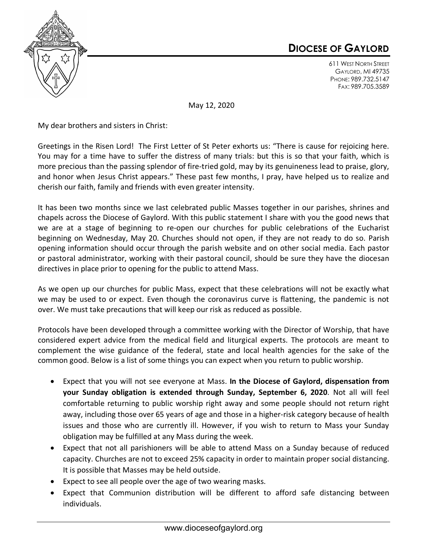

## **DIOCESE OF GAYLORD**

611 WEST NORTH STREET GAYLORD, MI 49735 PHONE: 989.732.5147 FAX: 989.705.3589

May 12, 2020

My dear brothers and sisters in Christ:

Greetings in the Risen Lord! The First Letter of St Peter exhorts us: "There is cause for rejoicing here. You may for a time have to suffer the distress of many trials: but this is so that your faith, which is more precious than the passing splendor of fire-tried gold, may by its genuineness lead to praise, glory, and honor when Jesus Christ appears." These past few months, I pray, have helped us to realize and cherish our faith, family and friends with even greater intensity.

It has been two months since we last celebrated public Masses together in our parishes, shrines and chapels across the Diocese of Gaylord. With this public statement I share with you the good news that we are at a stage of beginning to re-open our churches for public celebrations of the Eucharist beginning on Wednesday, May 20. Churches should not open, if they are not ready to do so. Parish opening information should occur through the parish website and on other social media. Each pastor or pastoral administrator, working with their pastoral council, should be sure they have the diocesan directives in place prior to opening for the public to attend Mass.

As we open up our churches for public Mass, expect that these celebrations will not be exactly what we may be used to or expect. Even though the coronavirus curve is flattening, the pandemic is not over. We must take precautions that will keep our risk as reduced as possible.

Protocols have been developed through a committee working with the Director of Worship, that have considered expert advice from the medical field and liturgical experts. The protocols are meant to complement the wise guidance of the federal, state and local health agencies for the sake of the common good. Below is a list of some things you can expect when you return to public worship.

- Expect that you will not see everyone at Mass. **In the Diocese of Gaylord, dispensation from your Sunday obligation is extended through Sunday, September 6, 2020**. Not all will feel comfortable returning to public worship right away and some people should not return right away, including those over 65 years of age and those in a higher-risk category because of health issues and those who are currently ill. However, if you wish to return to Mass your Sunday obligation may be fulfilled at any Mass during the week.
- Expect that not all parishioners will be able to attend Mass on a Sunday because of reduced capacity. Churches are not to exceed 25% capacity in order to maintain proper social distancing. It is possible that Masses may be held outside.
- Expect to see all people over the age of two wearing masks.
- Expect that Communion distribution will be different to afford safe distancing between individuals.